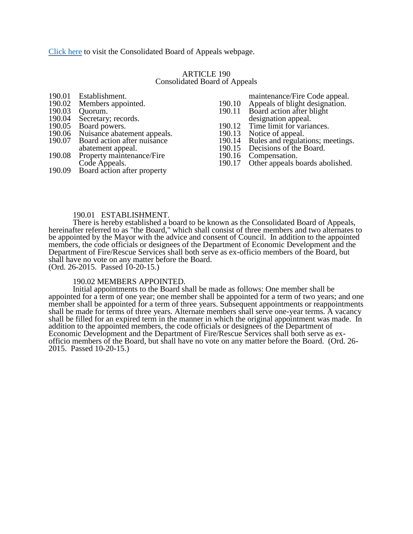[Click here](http://www.yorkcity.org/government/authorities-boards-and-commissions/consolidated-board-appeals/) to visit the Consolidated Board of Appeals webpage.

## ARTICLE 190 Consolidated Board of Appeals

- 190.01 Establishment.<br>190.02 Members appo
- 190.02 Members appointed.<br>190.03 Quorum.
- 190.03 Quorum.<br>190.04 Secretary
- 190.04 Secretary; records.<br>190.05 Board powers.
- 190.05 Board powers.<br>190.06 Nuisance abate
- 190.06 Nuisance abatement appeals.<br>190.07 Board action after nuisance
- Board action after nuisance
- abatement appeal.
- 190.08 Property maintenance/Fire Code Appeals.
- 190.09 Board action after property
- maintenance/Fire Code appeal.
- 190.10 Appeals of blight designation.<br>190.11 Board action after blight
	- Board action after blight
- designation appeal.
- 190.12 Time limit for variances.<br>190.13 Notice of appeal.
- 190.13 Notice of appeal.<br>190.14 Rules and regulat
- 190.14 Rules and regulations; meetings.<br>190.15 Decisions of the Board.
- 190.15 Decisions of the Board.<br>190.16 Compensation.
- 190.16 Compensation.<br>190.17 Other appeals b Other appeals boards abolished.

#### 190.01 ESTABLISHMENT.

There is hereby established a board to be known as the Consolidated Board of Appeals, hereinafter referred to as "the Board," which shall consist of three members and two alternates to be appointed by the Mayor with the advice and consent of Council. In addition to the appointed members, the code officials or designees of the Department of Economic Development and the Department of Fire/Rescue Services shall both serve as ex-officio members of the Board, but shall have no vote on any matter before the Board. (Ord. 26-2015. Passed 10-20-15.)

#### 190.02 MEMBERS APPOINTED.

Initial appointments to the Board shall be made as follows: One member shall be appointed for a term of one year; one member shall be appointed for a term of two years; and one member shall be appointed for a term of three years. Subsequent appointments or reappointments shall be made for terms of three years. Alternate members shall serve one-year terms. A vacancy shall be filled for an expired term in the manner in which the original appointment was made. In addition to the appointed members, the code officials or designees of the Department of Economic Development and the Department of Fire/Rescue Services shall both serve as exofficio members of the Board, but shall have no vote on any matter before the Board. (Ord. 26- 2015. Passed 10-20-15.)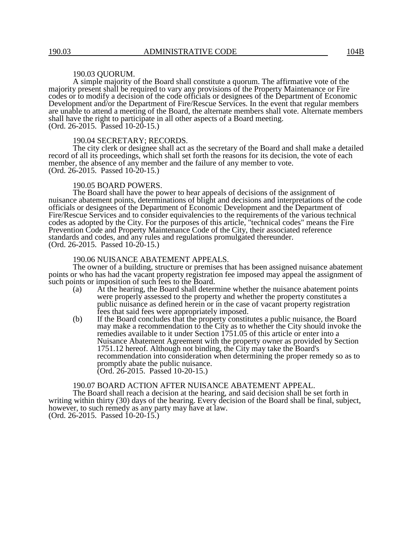#### 190.03 QUORUM.

A simple majority of the Board shall constitute a quorum. The affirmative vote of the majority present shall be required to vary any provisions of the Property Maintenance or Fire codes or to modify a decision of the code officials or designees of the Department of Economic Development and/or the Department of Fire/Rescue Services. In the event that regular members are unable to attend a meeting of the Board, the alternate members shall vote. Alternate members shall have the right to participate in all other aspects of a Board meeting. (Ord. 26-2015. Passed 10-20-15.)

#### 190.04 SECRETARY; RECORDS.

The city clerk or designee shall act as the secretary of the Board and shall make a detailed record of all its proceedings, which shall set forth the reasons for its decision, the vote of each member, the absence of any member and the failure of any member to vote. (Ord. 26-2015. Passed 10-20-15.)

#### 190.05 BOARD POWERS.

The Board shall have the power to hear appeals of decisions of the assignment of nuisance abatement points, determinations of blight and decisions and interpretations of the code officials or designees of the Department of Economic Development and the Department of Fire/Rescue Services and to consider equivalencies to the requirements of the various technical codes as adopted by the City. For the purposes of this article, "technical codes" means the Fire Prevention Code and Property Maintenance Code of the City, their associated reference standards and codes, and any rules and regulations promulgated thereunder. (Ord. 26-2015. Passed 10-20-15.)

## 190.06 NUISANCE ABATEMENT APPEALS.

The owner of a building, structure or premises that has been assigned nuisance abatement points or who has had the vacant property registration fee imposed may appeal the assignment of such points or imposition of such fees to the Board.

- (a) At the hearing, the Board shall determine whether the nuisance abatement points were properly assessed to the property and whether the property constitutes a public nuisance as defined herein or in the case of vacant property registration fees that said fees were appropriately imposed.
- (b) If the Board concludes that the property constitutes a public nuisance, the Board may make a recommendation to the City as to whether the City should invoke the remedies available to it under Section 1751.05 of this article or enter into a Nuisance Abatement Agreement with the property owner as provided by Section 1751.12 hereof. Although not binding, the City may take the Board's recommendation into consideration when determining the proper remedy so as to promptly abate the public nuisance. (Ord. 26-2015. Passed 10-20-15.)

## 190.07 BOARD ACTION AFTER NUISANCE ABATEMENT APPEAL.

The Board shall reach a decision at the hearing, and said decision shall be set forth in writing within thirty (30) days of the hearing. Every decision of the Board shall be final, subject, however, to such remedy as any party may have at law. (Ord. 26-2015. Passed 10-20-15.)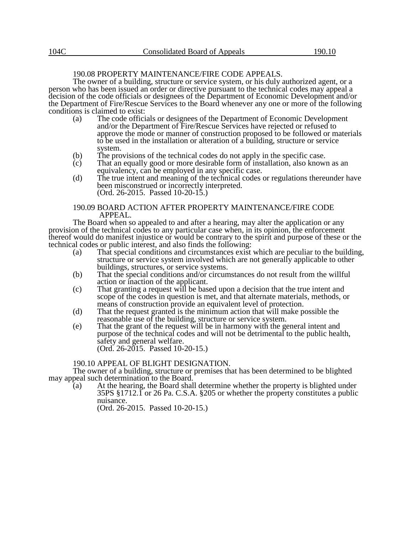# 190.08 PROPERTY MAINTENANCE/FIRE CODE APPEALS.

The owner of a building, structure or service system, or his duly authorized agent, or a person who has been issued an order or directive pursuant to the technical codes may appeal a decision of the code officials or designees of the Department of Economic Development and/or the Department of Fire/Rescue Services to the Board whenever any one or more of the following conditions is claimed to exist:

- (a) The code officials or designees of the Department of Economic Development and/or the Department of Fire/Rescue Services have rejected or refused to approve the mode or manner of construction proposed to be followed or materials to be used in the installation or alteration of a building, structure or service system.
- (b) The provisions of the technical codes do not apply in the specific case.
- $(c)$  That an equally good or more desirable form of installation, also known as an equivalency, can be employed in any specific case.
- (d) The true intent and meaning of the technical codes or regulations thereunder have been misconstrued or incorrectly interpreted. (Ord. 26-2015. Passed 10-20-15.)

#### 190.09 BOARD ACTION AFTER PROPERTY MAINTENANCE/FIRE CODE APPEAL.

The Board when so appealed to and after a hearing, may alter the application or any provision of the technical codes to any particular case when, in its opinion, the enforcement thereof would do manifest injustice or would be contrary to the spirit and purpose of these or the technical codes or public interest, and also finds the following:

- (a) That special conditions and circumstances exist which are peculiar to the building, structure or service system involved which are not generally applicable to other buildings, structures, or service systems.
- (b) That the special conditions and/or circumstances do not result from the willful action or inaction of the applicant.
- (c) That granting a request will be based upon a decision that the true intent and scope of the codes in question is met, and that alternate materials, methods, or means of construction provide an equivalent level of protection.
- (d) That the request granted is the minimum action that will make possible the reasonable use of the building, structure or service system.
- (e) That the grant of the request will be in harmony with the general intent and purpose of the technical codes and will not be detrimental to the public health, safety and general welfare. (Ord. 26-2015. Passed 10-20-15.)

#### 190.10 APPEAL OF BLIGHT DESIGNATION.

The owner of a building, structure or premises that has been determined to be blighted may appeal such determination to the Board.

(a) At the hearing, the Board shall determine whether the property is blighted under 35PS §1712.1 or 26 Pa. C.S.A. §205 or whether the property constitutes a public nuisance.

(Ord. 26-2015. Passed 10-20-15.)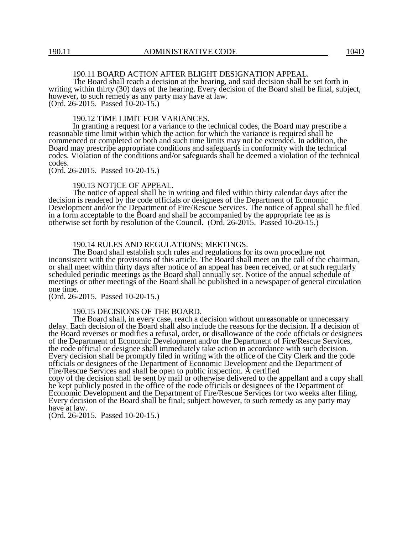## 190.11 BOARD ACTION AFTER BLIGHT DESIGNATION APPEAL.

The Board shall reach a decision at the hearing, and said decision shall be set forth in writing within thirty (30) days of the hearing. Every decision of the Board shall be final, subject, however, to such remedy as any party may have at law. (Ord. 26-2015. Passed 10-20-15.)

190.12 TIME LIMIT FOR VARIANCES.

In granting a request for a variance to the technical codes, the Board may prescribe a reasonable time limit within which the action for which the variance is required shall be commenced or completed or both and such time limits may not be extended. In addition, the Board may prescribe appropriate conditions and safeguards in conformity with the technical codes. Violation of the conditions and/or safeguards shall be deemed a violation of the technical codes.

(Ord. 26-2015. Passed 10-20-15.)

#### 190.13 NOTICE OF APPEAL.

The notice of appeal shall be in writing and filed within thirty calendar days after the decision is rendered by the code officials or designees of the Department of Economic Development and/or the Department of Fire/Rescue Services. The notice of appeal shall be filed in a form acceptable to the Board and shall be accompanied by the appropriate fee as is otherwise set forth by resolution of the Council. (Ord. 26-2015. Passed 10-20-15.)

#### 190.14 RULES AND REGULATIONS; MEETINGS.

The Board shall establish such rules and regulations for its own procedure not inconsistent with the provisions of this article. The Board shall meet on the call of the chairman, or shall meet within thirty days after notice of an appeal has been received, or at such regularly scheduled periodic meetings as the Board shall annually set. Notice of the annual schedule of meetings or other meetings of the Board shall be published in a newspaper of general circulation one time.

(Ord. 26-2015. Passed 10-20-15.)

#### 190.15 DECISIONS OF THE BOARD.

The Board shall, in every case, reach a decision without unreasonable or unnecessary delay. Each decision of the Board shall also include the reasons for the decision. If a decision of the Board reverses or modifies a refusal, order, or disallowance of the code officials or designees of the Department of Economic Development and/or the Department of Fire/Rescue Services, the code official or designee shall immediately take action in accordance with such decision. Every decision shall be promptly filed in writing with the office of the City Clerk and the code officials or designees of the Department of Economic Development and the Department of Fire/Rescue Services and shall be open to public inspection. A certified

copy of the decision shall be sent by mail or otherwise delivered to the appellant and a copy shall be kept publicly posted in the office of the code officials or designees of the Department of Economic Development and the Department of Fire/Rescue Services for two weeks after filing. Every decision of the Board shall be final; subject however, to such remedy as any party may have at law.

(Ord. 26-2015. Passed 10-20-15.)